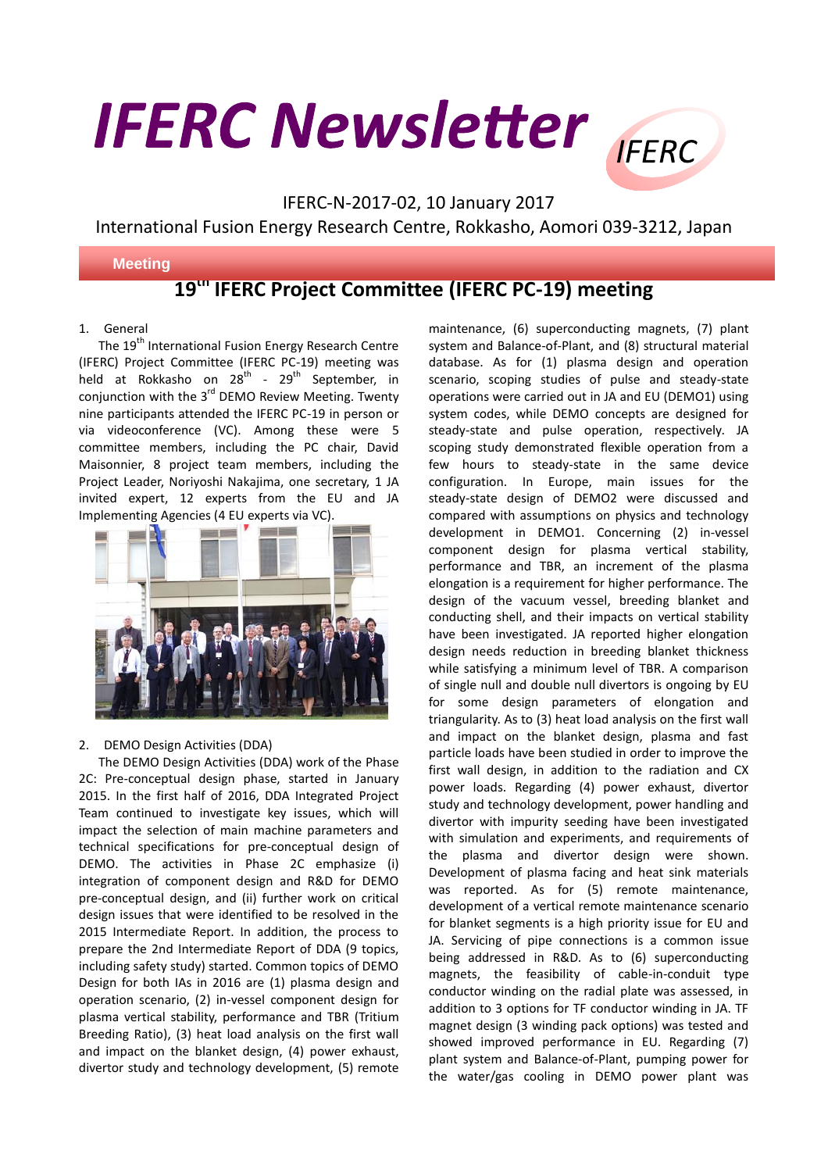# **IFERC Newsletter** FERC



### IFERC-N-2017-02, 10 January 2017

International Fusion Energy Research Centre, Rokkasho, Aomori 039-3212, Japan

#### **Meeting**

## **19 th IFERC Project Committee (IFERC PC-19) meeting**

#### 1. General

The 19<sup>th</sup> International Fusion Energy Research Centre (IFERC) Project Committee (IFERC PC-19) meeting was held at Rokkasho on 28<sup>th</sup> - 29<sup>th</sup> September, in conjunction with the 3<sup>rd</sup> DEMO Review Meeting. Twenty nine participants attended the IFERC PC-19 in person or via videoconference (VC). Among these were 5 committee members, including the PC chair, David Maisonnier, 8 project team members, including the Project Leader, Noriyoshi Nakajima, one secretary, 1 JA invited expert, 12 experts from the EU and JA Implementing Agencies (4 EU experts via VC).



#### 2. DEMO Design Activities (DDA)

The DEMO Design Activities (DDA) work of the Phase 2C: Pre-conceptual design phase, started in January 2015. In the first half of 2016, DDA Integrated Project Team continued to investigate key issues, which will impact the selection of main machine parameters and technical specifications for pre-conceptual design of DEMO. The activities in Phase 2C emphasize (i) integration of component design and R&D for DEMO pre-conceptual design, and (ii) further work on critical design issues that were identified to be resolved in the 2015 Intermediate Report. In addition, the process to prepare the 2nd Intermediate Report of DDA (9 topics, including safety study) started. Common topics of DEMO Design for both IAs in 2016 are (1) plasma design and operation scenario, (2) in-vessel component design for plasma vertical stability, performance and TBR (Tritium Breeding Ratio), (3) heat load analysis on the first wall and impact on the blanket design, (4) power exhaust, divertor study and technology development, (5) remote

maintenance, (6) superconducting magnets, (7) plant system and Balance-of-Plant, and (8) structural material database. As for (1) plasma design and operation scenario, scoping studies of pulse and steady-state operations were carried out in JA and EU (DEMO1) using system codes, while DEMO concepts are designed for steady-state and pulse operation, respectively. JA scoping study demonstrated flexible operation from a few hours to steady-state in the same device configuration. In Europe, main issues for the steady-state design of DEMO2 were discussed and compared with assumptions on physics and technology development in DEMO1. Concerning (2) in-vessel component design for plasma vertical stability, performance and TBR, an increment of the plasma elongation is a requirement for higher performance. The design of the vacuum vessel, breeding blanket and conducting shell, and their impacts on vertical stability have been investigated. JA reported higher elongation design needs reduction in breeding blanket thickness while satisfying a minimum level of TBR. A comparison of single null and double null divertors is ongoing by EU for some design parameters of elongation and triangularity. As to (3) heat load analysis on the first wall and impact on the blanket design, plasma and fast particle loads have been studied in order to improve the first wall design, in addition to the radiation and CX power loads. Regarding (4) power exhaust, divertor study and technology development, power handling and divertor with impurity seeding have been investigated with simulation and experiments, and requirements of the plasma and divertor design were shown. Development of plasma facing and heat sink materials was reported. As for (5) remote maintenance, development of a vertical remote maintenance scenario for blanket segments is a high priority issue for EU and JA. Servicing of pipe connections is a common issue being addressed in R&D. As to (6) superconducting magnets, the feasibility of cable-in-conduit type conductor winding on the radial plate was assessed, in addition to 3 options for TF conductor winding in JA. TF magnet design (3 winding pack options) was tested and showed improved performance in EU. Regarding (7) plant system and Balance-of-Plant, pumping power for the water/gas cooling in DEMO power plant was